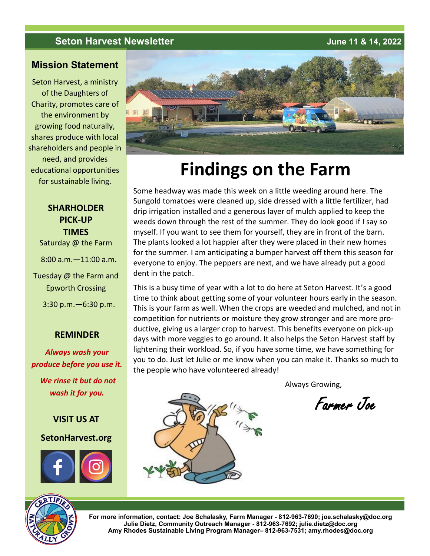#### **Seton Harvest Newsletter June 11 & 14, 2022**

#### **Mission Statement**

Seton Harvest, a ministry of the Daughters of Charity, promotes care of the environment by growing food naturally, shares produce with local shareholders and people in need, and provides educational opportunities for sustainable living.

#### **SHARHOLDER PICK-UP TIMES**

Saturday @ the Farm

8:00 a.m.—11:00 a.m.

Tuesday @ the Farm and Epworth Crossing

3:30 p.m.—6:30 p.m.

#### **REMINDER**

*Always wash your produce before you use it. We rinse it but do not wash it for you.*

#### **VISIT US AT**

#### **SetonHarvest.org**





# **Findings on the Farm**

Some headway was made this week on a little weeding around here. The Sungold tomatoes were cleaned up, side dressed with a little fertilizer, had drip irrigation installed and a generous layer of mulch applied to keep the weeds down through the rest of the summer. They do look good if I say so myself. If you want to see them for yourself, they are in front of the barn. The plants looked a lot happier after they were placed in their new homes for the summer. I am anticipating a bumper harvest off them this season for everyone to enjoy. The peppers are next, and we have already put a good dent in the patch.

This is a busy time of year with a lot to do here at Seton Harvest. It's a good time to think about getting some of your volunteer hours early in the season. This is your farm as well. When the crops are weeded and mulched, and not in competition for nutrients or moisture they grow stronger and are more productive, giving us a larger crop to harvest. This benefits everyone on pick-up days with more veggies to go around. It also helps the Seton Harvest staff by lightening their workload. So, if you have some time, we have something for you to do. Just let Julie or me know when you can make it. Thanks so much to the people who have volunteered already!



Farmer Joe



**For more information, contact: Joe Schalasky, Farm Manager - 812-963-7690; joe.schalasky@doc.org Julie Dietz, Community Outreach Manager - 812-963-7692; julie.dietz@doc.org Amy Rhodes Sustainable Living Program Manager– 812-963-7531; amy.rhodes@doc.org**